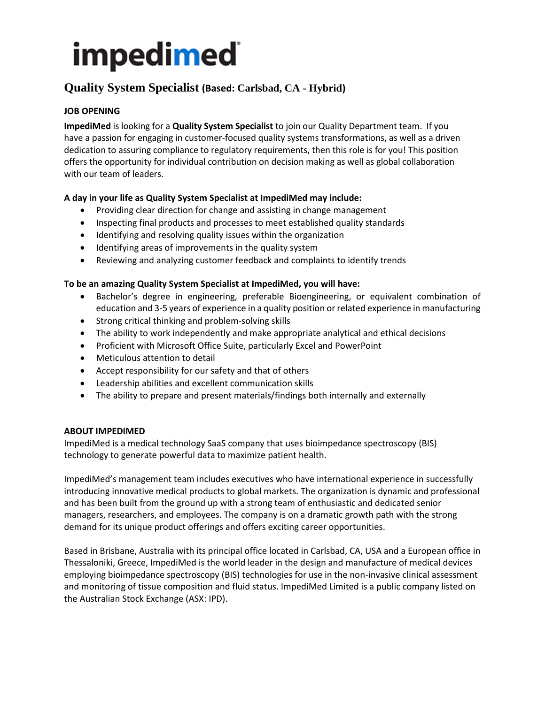# **Quality System Specialist (Based: Carlsbad, CA - Hybrid)**

## **JOB OPENING**

**ImpediMed** is looking for a **Quality System Specialist** to join our Quality Department team. If you have a passion for engaging in customer-focused quality systems transformations, as well as a driven dedication to assuring compliance to regulatory requirements, then this role is for you! This position offers the opportunity for individual contribution on decision making as well as global collaboration with our team of leaders.

## **A day in your life as Quality System Specialist at ImpediMed may include:**

- Providing clear direction for change and assisting in change management
- Inspecting final products and processes to meet established quality standards
- Identifying and resolving quality issues within the organization
- Identifying areas of improvements in the quality system
- Reviewing and analyzing customer feedback and complaints to identify trends

### **To be an amazing Quality System Specialist at ImpediMed, you will have:**

- Bachelor's degree in engineering, preferable Bioengineering, or equivalent combination of education and 3-5 years of experience in a quality position or related experience in manufacturing
- Strong critical thinking and problem-solving skills
- The ability to work independently and make appropriate analytical and ethical decisions
- Proficient with Microsoft Office Suite, particularly Excel and PowerPoint
- Meticulous attention to detail
- Accept responsibility for our safety and that of others
- Leadership abilities and excellent communication skills
- The ability to prepare and present materials/findings both internally and externally

### **ABOUT IMPEDIMED**

ImpediMed is a medical technology SaaS company that uses bioimpedance spectroscopy (BIS) technology to generate powerful data to maximize patient health.

ImpediMed's management team includes executives who have international experience in successfully introducing innovative medical products to global markets. The organization is dynamic and professional and has been built from the ground up with a strong team of enthusiastic and dedicated senior managers, researchers, and employees. The company is on a dramatic growth path with the strong demand for its unique product offerings and offers exciting career opportunities.

Based in Brisbane, Australia with its principal office located in Carlsbad, CA, USA and a European office in Thessaloniki, Greece, ImpediMed is the world leader in the design and manufacture of medical devices employing bioimpedance spectroscopy (BIS) technologies for use in the non-invasive clinical assessment and monitoring of tissue composition and fluid status. ImpediMed Limited is a public company listed on the Australian Stock Exchange (ASX: IPD).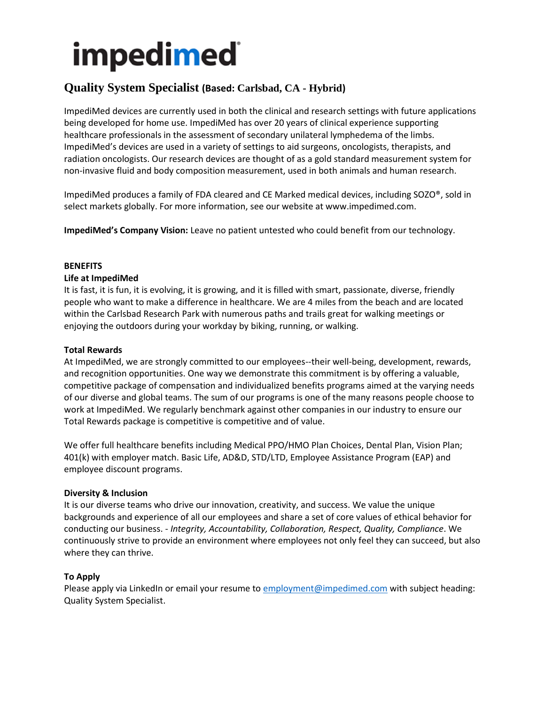# **Quality System Specialist (Based: Carlsbad, CA - Hybrid)**

ImpediMed devices are currently used in both the clinical and research settings with future applications being developed for home use. ImpediMed has over 20 years of clinical experience supporting healthcare professionals in the assessment of secondary unilateral lymphedema of the limbs. ImpediMed's devices are used in a variety of settings to aid surgeons, oncologists, therapists, and radiation oncologists. Our research devices are thought of as a gold standard measurement system for non-invasive fluid and body composition measurement, used in both animals and human research.

ImpediMed produces a family of FDA cleared and CE Marked medical devices, including SOZO®, sold in select markets globally. For more information, see our website at www.impedimed.com.

**ImpediMed's Company Vision:** Leave no patient untested who could benefit from our technology.

### **BENEFITS**

### **Life at ImpediMed**

It is fast, it is fun, it is evolving, it is growing, and it is filled with smart, passionate, diverse, friendly people who want to make a difference in healthcare. We are 4 miles from the beach and are located within the Carlsbad Research Park with numerous paths and trails great for walking meetings or enjoying the outdoors during your workday by biking, running, or walking.

### **Total Rewards**

At ImpediMed, we are strongly committed to our employees--their well-being, development, rewards, and recognition opportunities. One way we demonstrate this commitment is by offering a valuable, competitive package of compensation and individualized benefits programs aimed at the varying needs of our diverse and global teams. The sum of our programs is one of the many reasons people choose to work at ImpediMed. We regularly benchmark against other companies in our industry to ensure our Total Rewards package is competitive is competitive and of value.

We offer full healthcare benefits including Medical PPO/HMO Plan Choices, Dental Plan, Vision Plan; 401(k) with employer match. Basic Life, AD&D, STD/LTD, Employee Assistance Program (EAP) and employee discount programs.

### **Diversity & Inclusion**

It is our diverse teams who drive our innovation, creativity, and success. We value the unique backgrounds and experience of all our employees and share a set of core values of ethical behavior for conducting our business. - *Integrity, Accountability, Collaboration, Respect, Quality, Compliance*. We continuously strive to provide an environment where employees not only feel they can succeed, but also where they can thrive.

### **To Apply**

Please apply via LinkedIn or email your resume t[o employment@impedimed.com](mailto:employment@impedimed.com) with subject heading: Quality System Specialist.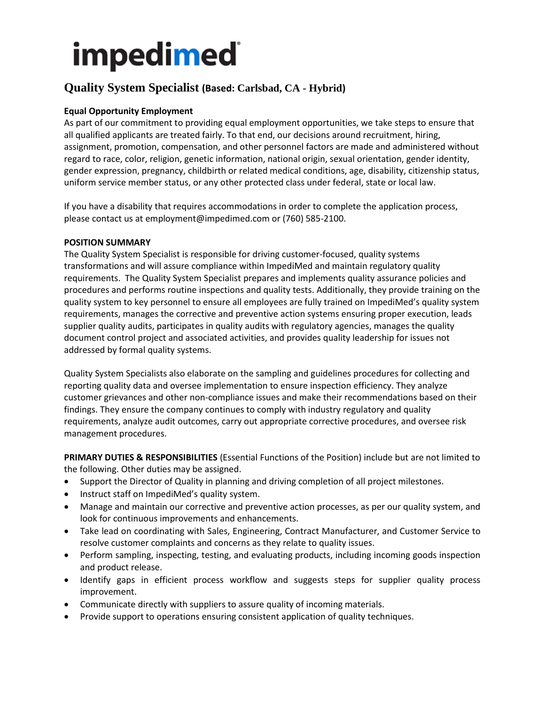# **Quality System Specialist (Based: Carlsbad, CA - Hybrid)**

## **Equal Opportunity Employment**

As part of our commitment to providing equal employment opportunities, we take steps to ensure that all qualified applicants are treated fairly. To that end, our decisions around recruitment, hiring, assignment, promotion, compensation, and other personnel factors are made and administered without regard to race, color, religion, genetic information, national origin, sexual orientation, gender identity, gender expression, pregnancy, childbirth or related medical conditions, age, disability, citizenship status, uniform service member status, or any other protected class under federal, state or local law.

If you have a disability that requires accommodations in order to complete the application process, please contact us at employment@impedimed.com or (760) 585-2100.

### **POSITION SUMMARY**

The Quality System Specialist is responsible for driving customer-focused, quality systems transformations and will assure compliance within ImpediMed and maintain regulatory quality requirements. The Quality System Specialist prepares and implements quality assurance policies and procedures and performs routine inspections and quality tests. Additionally, they provide training on the quality system to key personnel to ensure all employees are fully trained on ImpediMed's quality system requirements, manages the corrective and preventive action systems ensuring proper execution, leads supplier quality audits, participates in quality audits with regulatory agencies, manages the quality document control project and associated activities, and provides quality leadership for issues not addressed by formal quality systems.

Quality System Specialists also elaborate on the sampling and guidelines procedures for collecting and reporting quality data and oversee implementation to ensure inspection efficiency. They analyze customer grievances and other non-compliance issues and make their recommendations based on their findings. They ensure the company continues to comply with industry regulatory and quality requirements, analyze audit outcomes, carry out appropriate corrective procedures, and oversee risk management procedures.

**PRIMARY DUTIES & RESPONSIBILITIES** (Essential Functions of the Position) include but are not limited to the following. Other duties may be assigned.

- Support the Director of Quality in planning and driving completion of all project milestones.
- Instruct staff on ImpediMed's quality system.
- Manage and maintain our corrective and preventive action processes, as per our quality system, and look for continuous improvements and enhancements.
- Take lead on coordinating with Sales, Engineering, Contract Manufacturer, and Customer Service to resolve customer complaints and concerns as they relate to quality issues.
- Perform sampling, inspecting, testing, and evaluating products, including incoming goods inspection and product release.
- Identify gaps in efficient process workflow and suggests steps for supplier quality process improvement.
- Communicate directly with suppliers to assure quality of incoming materials.
- Provide support to operations ensuring consistent application of quality techniques.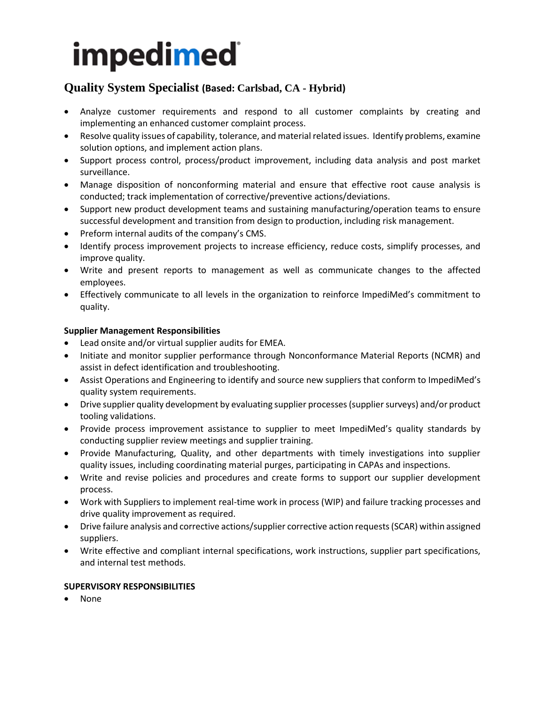# **Quality System Specialist (Based: Carlsbad, CA - Hybrid)**

- Analyze customer requirements and respond to all customer complaints by creating and implementing an enhanced customer complaint process.
- Resolve quality issues of capability, tolerance, and material related issues. Identify problems, examine solution options, and implement action plans.
- Support process control, process/product improvement, including data analysis and post market surveillance.
- Manage disposition of nonconforming material and ensure that effective root cause analysis is conducted; track implementation of corrective/preventive actions/deviations.
- Support new product development teams and sustaining manufacturing/operation teams to ensure successful development and transition from design to production, including risk management.
- Preform internal audits of the company's CMS.
- Identify process improvement projects to increase efficiency, reduce costs, simplify processes, and improve quality.
- Write and present reports to management as well as communicate changes to the affected employees.
- Effectively communicate to all levels in the organization to reinforce ImpediMed's commitment to quality.

## **Supplier Management Responsibilities**

- Lead onsite and/or virtual supplier audits for EMEA.
- Initiate and monitor supplier performance through Nonconformance Material Reports (NCMR) and assist in defect identification and troubleshooting.
- Assist Operations and Engineering to identify and source new suppliers that conform to ImpediMed's quality system requirements.
- Drive supplier quality development by evaluating supplier processes (supplier surveys) and/or product tooling validations.
- Provide process improvement assistance to supplier to meet ImpediMed's quality standards by conducting supplier review meetings and supplier training.
- Provide Manufacturing, Quality, and other departments with timely investigations into supplier quality issues, including coordinating material purges, participating in CAPAs and inspections.
- Write and revise policies and procedures and create forms to support our supplier development process.
- Work with Suppliers to implement real-time work in process (WIP) and failure tracking processes and drive quality improvement as required.
- Drive failure analysis and corrective actions/supplier corrective action requests (SCAR) within assigned suppliers.
- Write effective and compliant internal specifications, work instructions, supplier part specifications, and internal test methods.

## **SUPERVISORY RESPONSIBILITIES**

• None